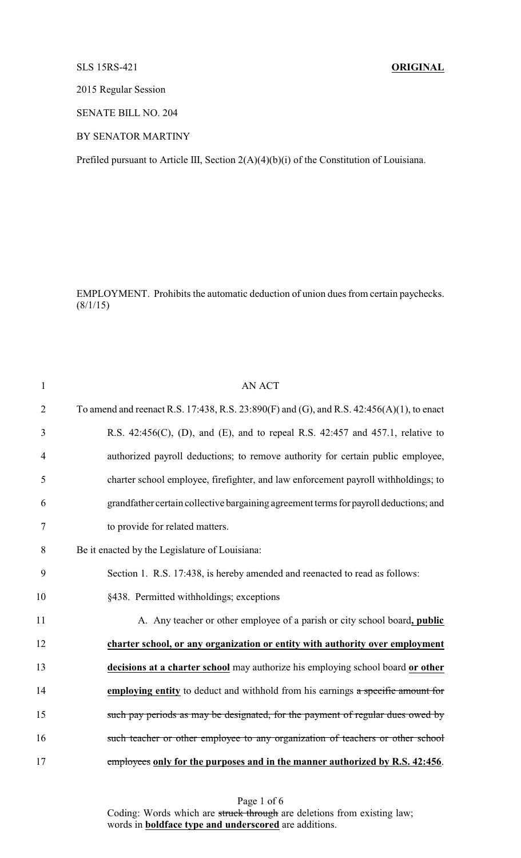## SLS 15RS-421 **ORIGINAL**

2015 Regular Session

SENATE BILL NO. 204

BY SENATOR MARTINY

Prefiled pursuant to Article III, Section 2(A)(4)(b)(i) of the Constitution of Louisiana.

EMPLOYMENT. Prohibits the automatic deduction of union dues from certain paychecks.  $(8/1/15)$ 

| $\mathbf{1}$   | <b>AN ACT</b>                                                                             |
|----------------|-------------------------------------------------------------------------------------------|
| $\overline{2}$ | To amend and reenact R.S. 17:438, R.S. 23:890(F) and (G), and R.S. 42:456(A)(1), to enact |
| 3              | R.S. 42:456(C), (D), and (E), and to repeal R.S. 42:457 and 457.1, relative to            |
| $\overline{4}$ | authorized payroll deductions; to remove authority for certain public employee,           |
| 5              | charter school employee, firefighter, and law enforcement payroll withholdings; to        |
| 6              | grandfather certain collective bargaining agreement terms for payroll deductions; and     |
| 7              | to provide for related matters.                                                           |
| 8              | Be it enacted by the Legislature of Louisiana:                                            |
| 9              | Section 1. R.S. 17:438, is hereby amended and reenacted to read as follows:               |
| 10             | §438. Permitted withholdings; exceptions                                                  |
| 11             | A. Any teacher or other employee of a parish or city school board, public                 |
| 12             | charter school, or any organization or entity with authority over employment              |
| 13             | decisions at a charter school may authorize his employing school board or other           |
| 14             | employing entity to deduct and withhold from his earnings a specific amount for           |
| 15             | such pay periods as may be designated, for the payment of regular dues owed by            |
| 16             | such teacher or other employee to any organization of teachers or other school            |
| 17             | employees only for the purposes and in the manner authorized by R.S. 42:456.              |

Page 1 of 6 Coding: Words which are struck through are deletions from existing law; words in **boldface type and underscored** are additions.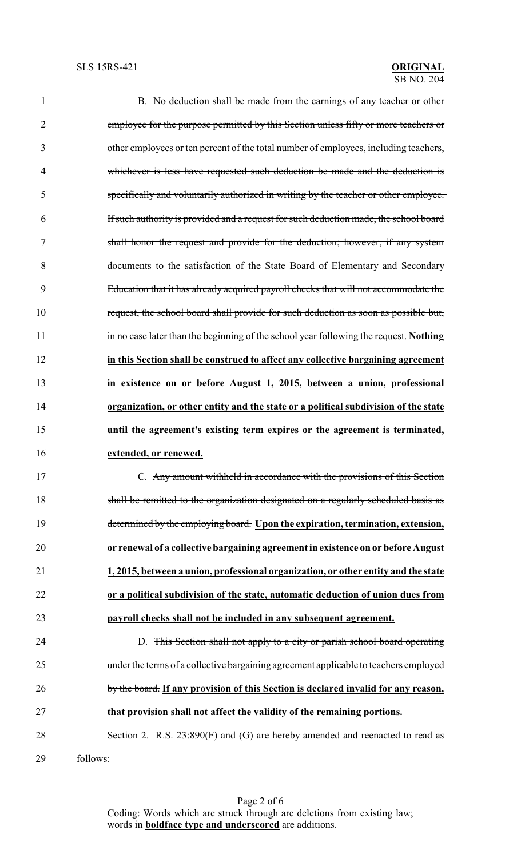| $\mathbf{1}$ | B. No deduction shall be made from the earnings of any teacher or other               |
|--------------|---------------------------------------------------------------------------------------|
| 2            | employee for the purpose permitted by this Section unless fifty or more teachers or   |
| 3            | other employees or ten percent of the total number of employees, including teachers,  |
| 4            | whichever is less have requested such deduction be made and the deduction is          |
| 5            | specifically and voluntarily authorized in writing by the teacher or other employee.  |
| 6            | If such authority is provided and a request for such deduction made, the school board |
| 7            | shall honor the request and provide for the deduction; however, if any system         |
| 8            | documents to the satisfaction of the State Board of Elementary and Secondary          |
| 9            | Education that it has already acquired payroll checks that will not accommodate the   |
| 10           | request, the school board shall provide for such deduction as soon as possible but,   |
| 11           | in no case later than the beginning of the school year following the request. Nothing |
| 12           | in this Section shall be construed to affect any collective bargaining agreement      |
| 13           | in existence on or before August 1, 2015, between a union, professional               |
| 14           | organization, or other entity and the state or a political subdivision of the state   |
| 15           | until the agreement's existing term expires or the agreement is terminated,           |
| 16           | extended, or renewed.                                                                 |
| 17           | C. Any amount withheld in accordance with the provisions of this Section              |
| 18           | shall be remitted to the organization designated on a regularly scheduled basis as    |
| 19           | determined by the employing board. Upon the expiration, termination, extension,       |
| 20           | or renewal of a collective bargaining agreement in existence on or before August      |
| 21           | 1, 2015, between a union, professional organization, or other entity and the state    |
| 22           | or a political subdivision of the state, automatic deduction of union dues from       |
| 23           | payroll checks shall not be included in any subsequent agreement.                     |
| 24           | D. This Section shall not apply to a city or parish school board operating            |
| 25           | under the terms of a collective bargaining agreement applicable to teachers employed  |
| 26           | by the board. If any provision of this Section is declared invalid for any reason,    |
| 27           | that provision shall not affect the validity of the remaining portions.               |
| 28           | Section 2. R.S. 23:890(F) and (G) are hereby amended and reenacted to read as         |
| 29           | follows:                                                                              |

Page 2 of 6 Coding: Words which are struck through are deletions from existing law; words in **boldface type and underscored** are additions.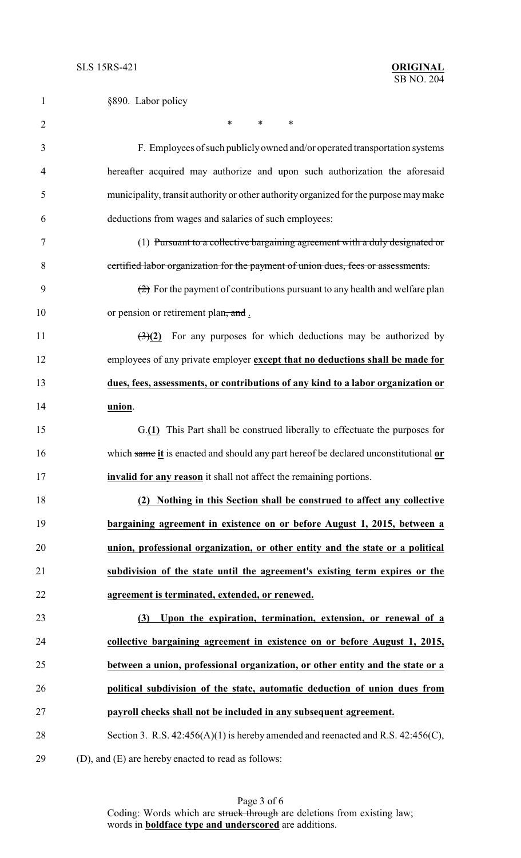| 1              | §890. Labor policy                                                                                    |
|----------------|-------------------------------------------------------------------------------------------------------|
| $\overline{2}$ | $\ast$<br>$\ast$<br>∗                                                                                 |
| 3              | F. Employees of such publicly owned and/or operated transportation systems                            |
| 4              | hereafter acquired may authorize and upon such authorization the aforesaid                            |
| 5              | municipality, transit authority or other authority organized for the purpose may make                 |
| 6              | deductions from wages and salaries of such employees:                                                 |
| $\tau$         | (1) Pursuant to a collective bargaining agreement with a duly designated or                           |
| 8              | certified labor organization for the payment of union dues, fees or assessments.                      |
| 9              | $\left( \frac{1}{2} \right)$ For the payment of contributions pursuant to any health and welfare plan |
| 10             | or pension or retirement plan, and.                                                                   |
| 11             | $\left(\frac{3}{2}\right)$ For any purposes for which deductions may be authorized by                 |
| 12             | employees of any private employer except that no deductions shall be made for                         |
| 13             | dues, fees, assessments, or contributions of any kind to a labor organization or                      |
| 14             | union.                                                                                                |
| 15             | G.(1) This Part shall be construed liberally to effectuate the purposes for                           |
| 16             | which same it is enacted and should any part hereof be declared unconstitutional or                   |
| 17             | invalid for any reason it shall not affect the remaining portions.                                    |
| 18             | (2) Nothing in this Section shall be construed to affect any collective                               |
| 19             | bargaining agreement in existence on or before August 1, 2015, between a                              |
| 20             | union, professional organization, or other entity and the state or a political                        |
| 21             | subdivision of the state until the agreement's existing term expires or the                           |
| 22             | agreement is terminated, extended, or renewed.                                                        |
| 23             | (3) Upon the expiration, termination, extension, or renewal of a                                      |
| 24             | collective bargaining agreement in existence on or before August 1, 2015,                             |
| 25             | between a union, professional organization, or other entity and the state or a                        |
| 26             | political subdivision of the state, automatic deduction of union dues from                            |
| 27             | payroll checks shall not be included in any subsequent agreement.                                     |
| 28             | Section 3. R.S. $42:456(A)(1)$ is hereby amended and reenacted and R.S. $42:456(C)$ ,                 |
| 29             | (D), and (E) are hereby enacted to read as follows:                                                   |

Page 3 of 6 Coding: Words which are struck through are deletions from existing law; words in **boldface type and underscored** are additions.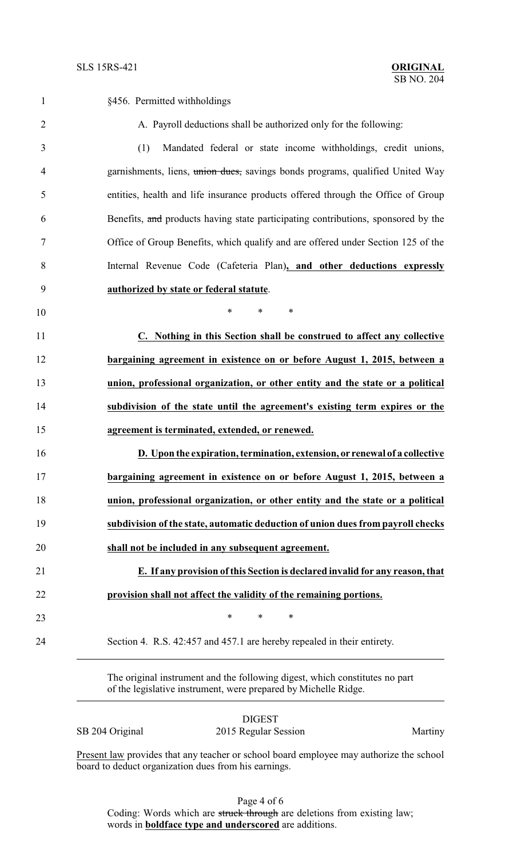| $\mathbf{1}$   | §456. Permitted withholdings                                                      |
|----------------|-----------------------------------------------------------------------------------|
| $\overline{2}$ | A. Payroll deductions shall be authorized only for the following:                 |
| 3              | (1)<br>Mandated federal or state income withholdings, credit unions,              |
| $\overline{4}$ | garnishments, liens, union dues, savings bonds programs, qualified United Way     |
| 5              | entities, health and life insurance products offered through the Office of Group  |
| 6              | Benefits, and products having state participating contributions, sponsored by the |
| 7              | Office of Group Benefits, which qualify and are offered under Section 125 of the  |
| 8              | Internal Revenue Code (Cafeteria Plan), and other deductions expressly            |
| 9              | authorized by state or federal statute.                                           |
| 10             | $\ast$<br>$\ast$<br>$\ast$                                                        |
| 11             | C. Nothing in this Section shall be construed to affect any collective            |
| 12             | bargaining agreement in existence on or before August 1, 2015, between a          |
| 13             | union, professional organization, or other entity and the state or a political    |
| 14             | subdivision of the state until the agreement's existing term expires or the       |
| 15             | agreement is terminated, extended, or renewed.                                    |
| 16             | D. Upon the expiration, termination, extension, or renewal of a collective        |
| 17             | bargaining agreement in existence on or before August 1, 2015, between a          |
| 18             | union, professional organization, or other entity and the state or a political    |
| 19             | subdivision of the state, automatic deduction of union dues from payroll checks   |
| 20             | shall not be included in any subsequent agreement.                                |
| 21             | E. If any provision of this Section is declared invalid for any reason, that      |
| 22             | provision shall not affect the validity of the remaining portions.                |
| 23             | $\ast$<br>$\ast$<br>$\ast$                                                        |
| 24             | Section 4. R.S. 42:457 and 457.1 are hereby repealed in their entirety.           |
|                |                                                                                   |

The original instrument and the following digest, which constitutes no part of the legislative instrument, were prepared by Michelle Ridge.

DIGEST SB 204 Original 2015 Regular Session Martiny

Present law provides that any teacher or school board employee may authorize the school board to deduct organization dues from his earnings.

Page 4 of 6

Coding: Words which are struck through are deletions from existing law; words in **boldface type and underscored** are additions.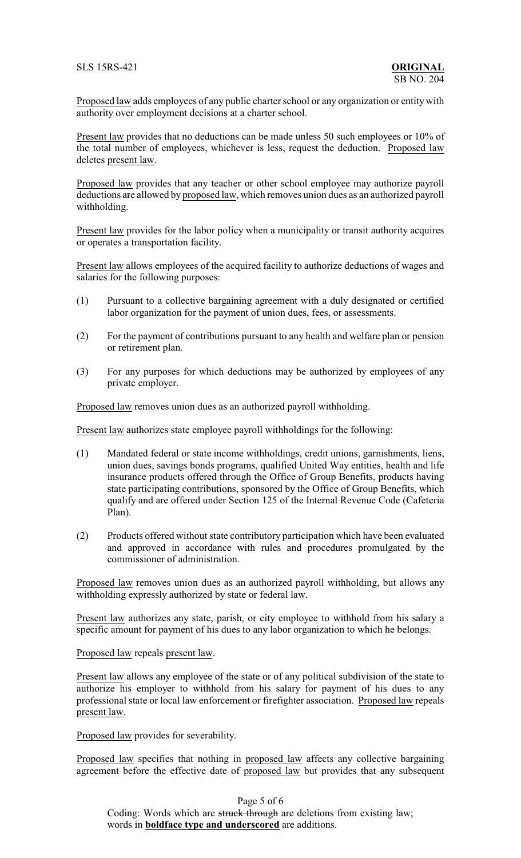Proposed law adds employees of any public charter school or any organization or entity with authority over employment decisions at a charter school.

Present law provides that no deductions can be made unless 50 such employees or 10% of the total number of employees, whichever is less, request the deduction. Proposed law deletes present law.

Proposed law provides that any teacher or other school employee may authorize payroll deductions are allowed by proposed law, which removes union dues as an authorized payroll withholding.

Present law provides for the labor policy when a municipality or transit authority acquires or operates a transportation facility.

Present law allows employees of the acquired facility to authorize deductions of wages and salaries for the following purposes:

- (1) Pursuant to a collective bargaining agreement with a duly designated or certified labor organization for the payment of union dues, fees, or assessments.
- (2) For the payment of contributions pursuant to any health and welfare plan or pension or retirement plan.
- (3) For any purposes for which deductions may be authorized by employees of any private employer.

Proposed law removes union dues as an authorized payroll withholding.

Present law authorizes state employee payroll withholdings for the following:

- (1) Mandated federal or state income withholdings, credit unions, garnishments, liens, union dues, savings bonds programs, qualified United Way entities, health and life insurance products offered through the Office of Group Benefits, products having state participating contributions, sponsored by the Office of Group Benefits, which qualify and are offered under Section 125 of the Internal Revenue Code (Cafeteria Plan).
- (2) Products offered without state contributory participation which have been evaluated and approved in accordance with rules and procedures promulgated by the commissioner of administration.

Proposed law removes union dues as an authorized payroll withholding, but allows any withholding expressly authorized by state or federal law.

Present law authorizes any state, parish, or city employee to withhold from his salary a specific amount for payment of his dues to any labor organization to which he belongs.

Proposed law repeals present law.

Present law allows any employee of the state or of any political subdivision of the state to authorize his employer to withhold from his salary for payment of his dues to any professional state or local law enforcement or firefighter association. Proposed law repeals present law.

Proposed law provides for severability.

Proposed law specifies that nothing in proposed law affects any collective bargaining agreement before the effective date of proposed law but provides that any subsequent

Page 5 of 6

Coding: Words which are struck through are deletions from existing law; words in **boldface type and underscored** are additions.